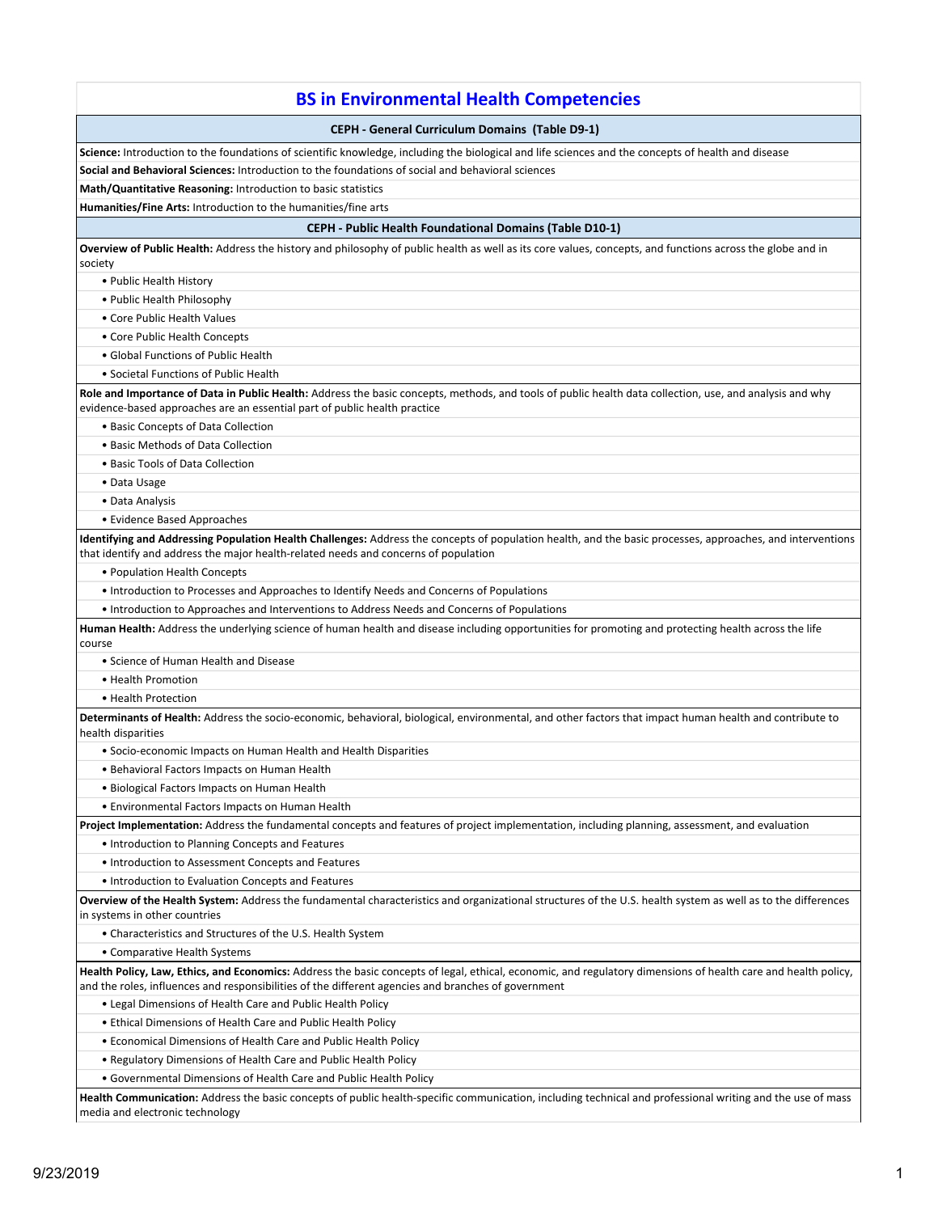| <b>BS in Environmental Health Competencies</b>                                                                                                                                                                                                                        |
|-----------------------------------------------------------------------------------------------------------------------------------------------------------------------------------------------------------------------------------------------------------------------|
| <b>CEPH - General Curriculum Domains (Table D9-1)</b>                                                                                                                                                                                                                 |
| Science: Introduction to the foundations of scientific knowledge, including the biological and life sciences and the concepts of health and disease                                                                                                                   |
| Social and Behavioral Sciences: Introduction to the foundations of social and behavioral sciences                                                                                                                                                                     |
| Math/Quantitative Reasoning: Introduction to basic statistics                                                                                                                                                                                                         |
| <b>Humanities/Fine Arts:</b> Introduction to the humanities/fine arts                                                                                                                                                                                                 |
| <b>CEPH - Public Health Foundational Domains (Table D10-1)</b>                                                                                                                                                                                                        |
| Overview of Public Health: Address the history and philosophy of public health as well as its core values, concepts, and functions across the globe and in<br>society                                                                                                 |
| • Public Health History                                                                                                                                                                                                                                               |
| • Public Health Philosophy                                                                                                                                                                                                                                            |
| • Core Public Health Values                                                                                                                                                                                                                                           |
| • Core Public Health Concepts                                                                                                                                                                                                                                         |
| • Global Functions of Public Health                                                                                                                                                                                                                                   |
| • Societal Functions of Public Health                                                                                                                                                                                                                                 |
|                                                                                                                                                                                                                                                                       |
| Role and Importance of Data in Public Health: Address the basic concepts, methods, and tools of public health data collection, use, and analysis and why<br>evidence-based approaches are an essential part of public health practice                                 |
| • Basic Concepts of Data Collection                                                                                                                                                                                                                                   |
| • Basic Methods of Data Collection                                                                                                                                                                                                                                    |
| • Basic Tools of Data Collection                                                                                                                                                                                                                                      |
| • Data Usage                                                                                                                                                                                                                                                          |
| • Data Analysis                                                                                                                                                                                                                                                       |
| · Evidence Based Approaches                                                                                                                                                                                                                                           |
| Identifying and Addressing Population Health Challenges: Address the concepts of population health, and the basic processes, approaches, and interventions<br>that identify and address the major health-related needs and concerns of population                     |
| • Population Health Concepts                                                                                                                                                                                                                                          |
| • Introduction to Processes and Approaches to Identify Needs and Concerns of Populations                                                                                                                                                                              |
| • Introduction to Approaches and Interventions to Address Needs and Concerns of Populations                                                                                                                                                                           |
| Human Health: Address the underlying science of human health and disease including opportunities for promoting and protecting health across the life<br>course                                                                                                        |
| • Science of Human Health and Disease                                                                                                                                                                                                                                 |
| • Health Promotion                                                                                                                                                                                                                                                    |
| • Health Protection                                                                                                                                                                                                                                                   |
| Determinants of Health: Address the socio-economic, behavioral, biological, environmental, and other factors that impact human health and contribute to<br>health disparities                                                                                         |
| • Socio-economic Impacts on Human Health and Health Disparities                                                                                                                                                                                                       |
| • Behavioral Factors Impacts on Human Health                                                                                                                                                                                                                          |
| • Biological Factors Impacts on Human Health                                                                                                                                                                                                                          |
| • Environmental Factors Impacts on Human Health                                                                                                                                                                                                                       |
| Project Implementation: Address the fundamental concepts and features of project implementation, including planning, assessment, and evaluation                                                                                                                       |
| • Introduction to Planning Concepts and Features                                                                                                                                                                                                                      |
| • Introduction to Assessment Concepts and Features                                                                                                                                                                                                                    |
| • Introduction to Evaluation Concepts and Features                                                                                                                                                                                                                    |
|                                                                                                                                                                                                                                                                       |
| Overview of the Health System: Address the fundamental characteristics and organizational structures of the U.S. health system as well as to the differences<br>in systems in other countries                                                                         |
| • Characteristics and Structures of the U.S. Health System                                                                                                                                                                                                            |
| • Comparative Health Systems                                                                                                                                                                                                                                          |
| Health Policy, Law, Ethics, and Economics: Address the basic concepts of legal, ethical, economic, and regulatory dimensions of health care and health policy,<br>and the roles, influences and responsibilities of the different agencies and branches of government |
| • Legal Dimensions of Health Care and Public Health Policy                                                                                                                                                                                                            |
| • Ethical Dimensions of Health Care and Public Health Policy                                                                                                                                                                                                          |
| • Economical Dimensions of Health Care and Public Health Policy                                                                                                                                                                                                       |
| • Regulatory Dimensions of Health Care and Public Health Policy                                                                                                                                                                                                       |
| • Governmental Dimensions of Health Care and Public Health Policy                                                                                                                                                                                                     |
|                                                                                                                                                                                                                                                                       |

**Health Communication:** Address the basic concepts of public health-specific communication, including technical and professional writing and the use of mass media and electronic technology